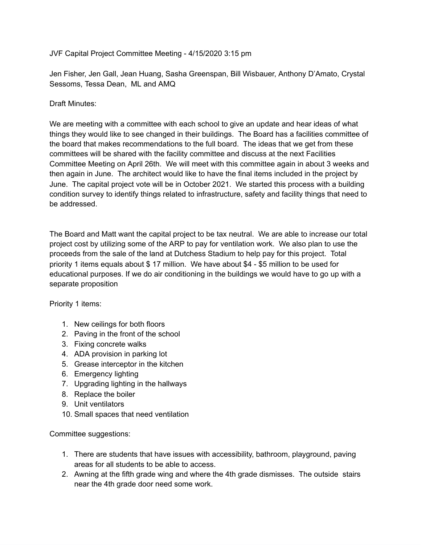JVF Capital Project Committee Meeting - 4/15/2020 3:15 pm

Jen Fisher, Jen Gall, Jean Huang, Sasha Greenspan, Bill Wisbauer, Anthony D'Amato, Crystal Sessoms, Tessa Dean, ML and AMQ

## Draft Minutes:

We are meeting with a committee with each school to give an update and hear ideas of what things they would like to see changed in their buildings. The Board has a facilities committee of the board that makes recommendations to the full board. The ideas that we get from these committees will be shared with the facility committee and discuss at the next Facilities Committee Meeting on April 26th. We will meet with this committee again in about 3 weeks and then again in June. The architect would like to have the final items included in the project by June. The capital project vote will be in October 2021. We started this process with a building condition survey to identify things related to infrastructure, safety and facility things that need to be addressed.

The Board and Matt want the capital project to be tax neutral. We are able to increase our total project cost by utilizing some of the ARP to pay for ventilation work. We also plan to use the proceeds from the sale of the land at Dutchess Stadium to help pay for this project. Total priority 1 items equals about \$ 17 million. We have about \$4 - \$5 million to be used for educational purposes. If we do air conditioning in the buildings we would have to go up with a separate proposition

Priority 1 items:

- 1. New ceilings for both floors
- 2. Paving in the front of the school
- 3. Fixing concrete walks
- 4. ADA provision in parking lot
- 5. Grease interceptor in the kitchen
- 6. Emergency lighting
- 7. Upgrading lighting in the hallways
- 8. Replace the boiler
- 9. Unit ventilators
- 10. Small spaces that need ventilation

Committee suggestions:

- 1. There are students that have issues with accessibility, bathroom, playground, paving areas for all students to be able to access.
- 2. Awning at the fifth grade wing and where the 4th grade dismisses. The outside stairs near the 4th grade door need some work.